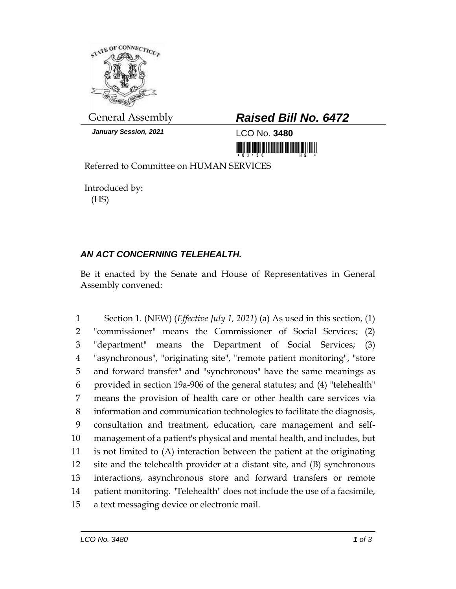

*January Session, 2021* LCO No. **3480**

## General Assembly *Raised Bill No. 6472*

<u> 1999 - An Dùbhlachd Marwrig Marwr a 1999 - An Dùbhlachd Marwr a 1999 - An Dùbhlachd Marwr a 1999 - An Dùbhlach</u>

Referred to Committee on HUMAN SERVICES

Introduced by: (HS)

## *AN ACT CONCERNING TELEHEALTH.*

Be it enacted by the Senate and House of Representatives in General Assembly convened:

 Section 1. (NEW) (*Effective July 1, 2021*) (a) As used in this section, (1) "commissioner" means the Commissioner of Social Services; (2) "department" means the Department of Social Services; (3) "asynchronous", "originating site", "remote patient monitoring", "store and forward transfer" and "synchronous" have the same meanings as provided in section 19a-906 of the general statutes; and (4) "telehealth" means the provision of health care or other health care services via information and communication technologies to facilitate the diagnosis, consultation and treatment, education, care management and self- management of a patient's physical and mental health, and includes, but is not limited to (A) interaction between the patient at the originating site and the telehealth provider at a distant site, and (B) synchronous interactions, asynchronous store and forward transfers or remote patient monitoring. "Telehealth" does not include the use of a facsimile, a text messaging device or electronic mail.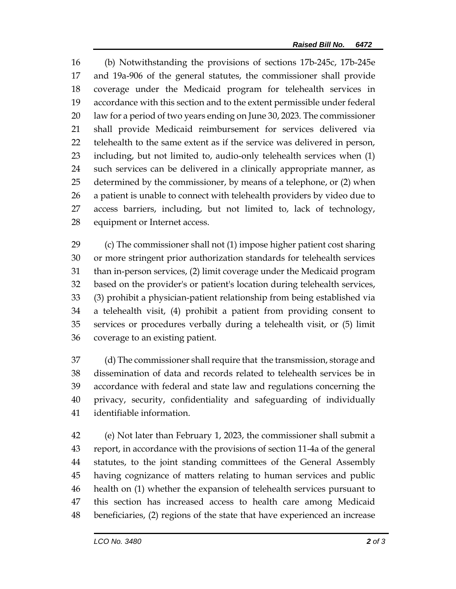(b) Notwithstanding the provisions of sections 17b-245c, 17b-245e and 19a-906 of the general statutes, the commissioner shall provide coverage under the Medicaid program for telehealth services in accordance with this section and to the extent permissible under federal law for a period of two years ending on June 30, 2023. The commissioner shall provide Medicaid reimbursement for services delivered via telehealth to the same extent as if the service was delivered in person, including, but not limited to, audio-only telehealth services when (1) such services can be delivered in a clinically appropriate manner, as determined by the commissioner, by means of a telephone, or (2) when a patient is unable to connect with telehealth providers by video due to access barriers, including, but not limited to, lack of technology, equipment or Internet access.

 (c) The commissioner shall not (1) impose higher patient cost sharing or more stringent prior authorization standards for telehealth services than in-person services, (2) limit coverage under the Medicaid program based on the provider's or patient's location during telehealth services, (3) prohibit a physician-patient relationship from being established via a telehealth visit, (4) prohibit a patient from providing consent to services or procedures verbally during a telehealth visit, or (5) limit coverage to an existing patient.

 (d) The commissioner shall require that the transmission, storage and dissemination of data and records related to telehealth services be in accordance with federal and state law and regulations concerning the privacy, security, confidentiality and safeguarding of individually identifiable information.

 (e) Not later than February 1, 2023, the commissioner shall submit a report, in accordance with the provisions of section 11-4a of the general statutes, to the joint standing committees of the General Assembly having cognizance of matters relating to human services and public health on (1) whether the expansion of telehealth services pursuant to this section has increased access to health care among Medicaid beneficiaries, (2) regions of the state that have experienced an increase